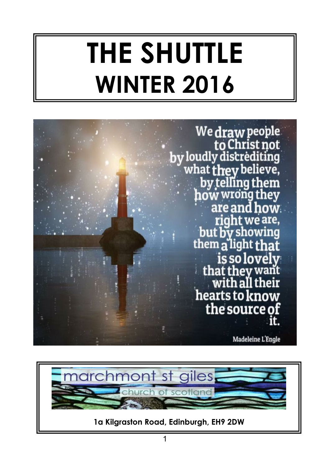# **THE SHUTTLE WINTER 2016**



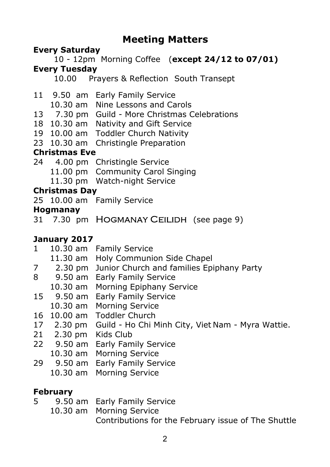#### **Meeting Matters**

#### **Every Saturday**

 10 - 12pm Morning Coffee (**except 24/12 to 07/01) Every Tuesday**

10.00 Prayers & Reflection South Transept

- 11 9.50 am Early Family Service
	- 10.30 am Nine Lessons and Carols
- 13 7.30 pm Guild More Christmas Celebrations
- 18 10.30 am Nativity and Gift Service
- 19 10.00 am Toddler Church Nativity
- 23 10.30 am Christingle Preparation

#### **Christmas Eve**

24 4.00 pm Christingle Service 11.00 pm Community Carol Singing 11.30 pm Watch-night Service

#### **Christmas Day**

25 10.00 am Family Service

#### **Hogmanay**

31 7.30 pm HOGMANAY CEILIDH (see page 9)

#### **January 2017**

- 1 10.30 am Family Service
	- 11.30 am Holy Communion Side Chapel
- 7 2.30 pm Junior Church and families Epiphany Party
- 8 9.50 am Early Family Service
- 10.30 am Morning Epiphany Service
- 15 9.50 am Early Family Service
- 10.30 am Morning Service
- 16 10.00 am Toddler Church
- 17 2.30 pm Guild Ho Chi Minh City, Viet Nam Myra Wattie.
- 21 2.30 pm Kids Club
- 22 9.50 am Early Family Service
	- 10.30 am Morning Service
- 29 9.50 am Early Family Service
	- 10.30 am Morning Service

#### **February**

- 5 9.50 am Early Family Service
	- 10.30 am Morning Service Contributions for the February issue of The Shuttle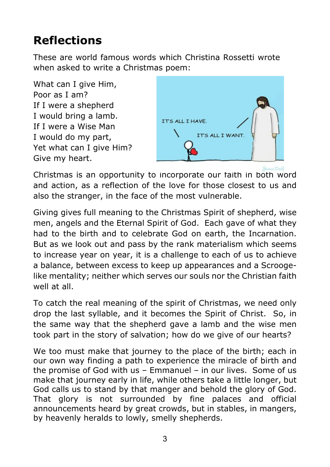## **Reflections**

These are world famous words which Christina Rossetti wrote when asked to write a Christmas poem:

What can I give Him, Poor as I am? If I were a shepherd I would bring a lamb. If I were a Wise Man I would do my part, Yet what can I give Him? Give my heart.



Christmas is an opportunity to incorporate our faith in both word and action, as a reflection of the love for those closest to us and also the stranger, in the face of the most vulnerable.

Giving gives full meaning to the Christmas Spirit of shepherd, wise men, angels and the Eternal Spirit of God. Each gave of what they had to the birth and to celebrate God on earth, the Incarnation. But as we look out and pass by the rank materialism which seems to increase year on year, it is a challenge to each of us to achieve a balance, between excess to keep up appearances and a Scroogelike mentality; neither which serves our souls nor the Christian faith well at all

To catch the real meaning of the spirit of Christmas, we need only drop the last syllable, and it becomes the Spirit of Christ. So, in the same way that the shepherd gave a lamb and the wise men took part in the story of salvation; how do we give of our hearts?

We too must make that journey to the place of the birth; each in our own way finding a path to experience the miracle of birth and the promise of God with us – Emmanuel – in our lives. Some of us make that journey early in life, while others take a little longer, but God calls us to stand by that manger and behold the glory of God. That glory is not surrounded by fine palaces and official announcements heard by great crowds, but in stables, in mangers, by heavenly heralds to lowly, smelly shepherds.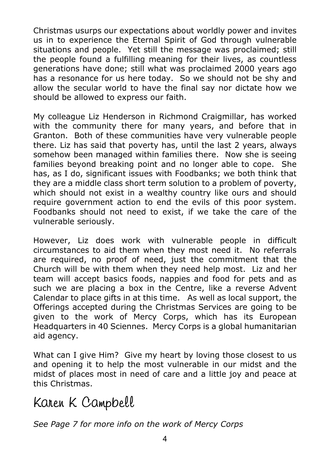Christmas usurps our expectations about worldly power and invites us in to experience the Eternal Spirit of God through vulnerable situations and people. Yet still the message was proclaimed; still the people found a fulfilling meaning for their lives, as countless generations have done; still what was proclaimed 2000 years ago has a resonance for us here today. So we should not be shy and allow the secular world to have the final say nor dictate how we should be allowed to express our faith.

My colleague Liz Henderson in Richmond Craigmillar, has worked with the community there for many years, and before that in Granton. Both of these communities have very vulnerable people there. Liz has said that poverty has, until the last 2 years, always somehow been managed within families there. Now she is seeing families beyond breaking point and no longer able to cope. She has, as I do, significant issues with Foodbanks; we both think that they are a middle class short term solution to a problem of poverty, which should not exist in a wealthy country like ours and should require government action to end the evils of this poor system. Foodbanks should not need to exist, if we take the care of the vulnerable seriously.

However, Liz does work with vulnerable people in difficult circumstances to aid them when they most need it. No referrals are required, no proof of need, just the commitment that the Church will be with them when they need help most. Liz and her team will accept basics foods, nappies and food for pets and as such we are placing a box in the Centre, like a reverse Advent Calendar to place gifts in at this time. As well as local support, the Offerings accepted during the Christmas Services are going to be given to the work of Mercy Corps, which has its European Headquarters in 40 Sciennes. Mercy Corps is a global humanitarian aid agency.

What can I give Him? Give my heart by loving those closest to us and opening it to help the most vulnerable in our midst and the midst of places most in need of care and a little joy and peace at this Christmas.

Karen K Campbell

*See Page 7 for more info on the work of Mercy Corps*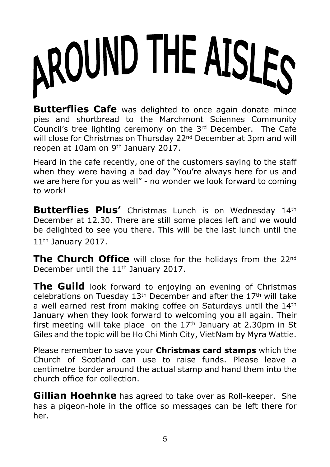# AROUND THE AISLES

**Butterflies Cafe** was delighted to once again donate mince pies and shortbread to the Marchmont Sciennes Community Council's tree lighting ceremony on the 3rd December. The Cafe will close for Christmas on Thursday 22<sup>nd</sup> December at 3pm and will reopen at 10am on 9th January 2017.

Heard in the cafe recently, one of the customers saying to the staff when they were having a bad day "You're always here for us and we are here for you as well" - no wonder we look forward to coming to work!

**Butterflies Plus'** Christmas Lunch is on Wednesday 14th December at 12.30. There are still some places left and we would be delighted to see you there. This will be the last lunch until the 11th January 2017.

**The Church Office** will close for the holidays from the 22<sup>nd</sup> December until the 11<sup>th</sup> January 2017.

**The Guild** look forward to enjoying an evening of Christmas celebrations on Tuesday  $13<sup>th</sup>$  December and after the  $17<sup>th</sup>$  will take a well earned rest from making coffee on Saturdays until the 14<sup>th</sup> January when they look forward to welcoming you all again. Their first meeting will take place on the  $17<sup>th</sup>$  January at 2.30pm in St Giles and the topic will be Ho Chi Minh City, VietNam by Myra Wattie.

Please remember to save your **Christmas card stamps** which the Church of Scotland can use to raise funds. Please leave a centimetre border around the actual stamp and hand them into the church office for collection.

**Gillian Hoehnke** has agreed to take over as Roll-keeper. She has a pigeon-hole in the office so messages can be left there for her.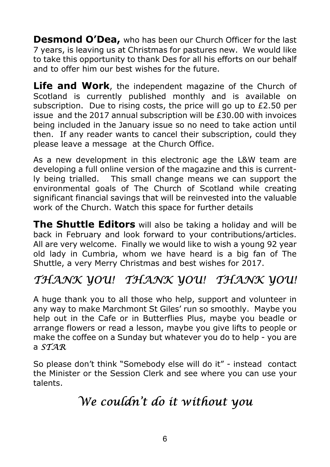**Desmond O'Dea,** who has been our Church Officer for the last 7 years, is leaving us at Christmas for pastures new. We would like to take this opportunity to thank Des for all his efforts on our behalf and to offer him our best wishes for the future.

**Life and Work**, the independent magazine of the Church of Scotland is currently published monthly and is available on subscription. Due to rising costs, the price will go up to £2.50 per issue and the 2017 annual subscription will be £30.00 with invoices being included in the January issue so no need to take action until then. If any reader wants to cancel their subscription, could they please leave a message at the Church Office.

As a new development in this electronic age the L&W team are developing a full online version of the magazine and this is currently being trialled. This small change means we can support the environmental goals of The Church of Scotland while creating significant financial savings that will be reinvested into the valuable work of the Church. Watch this space for further details

**The Shuttle Editors** will also be taking a holiday and will be back in February and look forward to your contributions/articles. All are very welcome. Finally we would like to wish a young 92 year old lady in Cumbria, whom we have heard is a big fan of The Shuttle, a very Merry Christmas and best wishes for 2017.

#### THANK YOU! THANK YOU! THANK YOU!

A huge thank you to all those who help, support and volunteer in any way to make Marchmont St Giles' run so smoothly. Maybe you help out in the Cafe or in Butterflies Plus, maybe you beadle or arrange flowers or read a lesson, maybe you give lifts to people or make the coffee on a Sunday but whatever you do to help - you are a  $STAR$ 

So please don't think "Somebody else will do it" - instead contact the Minister or the Session Clerk and see where you can use your talents.

#### We couldn't do it without you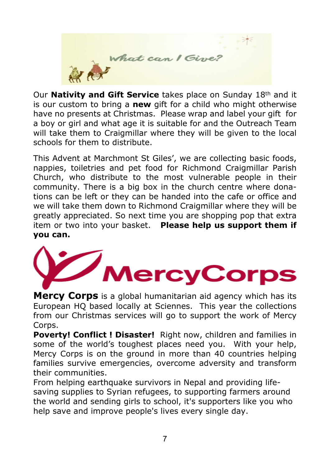

Our **Nativity and Gift Service** takes place on Sunday 18th and it is our custom to bring a **new** gift for a child who might otherwise have no presents at Christmas. Please wrap and label your gift for a boy or girl and what age it is suitable for and the Outreach Team will take them to Craigmillar where they will be given to the local schools for them to distribute.

This Advent at Marchmont St Giles', we are collecting basic foods, nappies, toiletries and pet food for Richmond Craigmillar Parish Church, who distribute to the most vulnerable people in their community. There is a big box in the church centre where donations can be left or they can be handed into the cafe or office and we will take them down to Richmond Craigmillar where they will be greatly appreciated. So next time you are shopping pop that extra item or two into your basket. **Please help us support them if you can.**



**Mercy Corps** is a global humanitarian aid agency which has its European HQ based locally at Sciennes. This year the collections from our Christmas services will go to support the work of Mercy Corps.

**Poverty! Conflict ! Disaster!** Right now, children and families in some of the world's toughest places need you. With your help, Mercy Corps is on the ground in more than 40 countries helping families survive emergencies, overcome adversity and transform their communities.

From helping earthquake survivors in Nepal and providing lifesaving supplies to Syrian refugees, to supporting farmers around the world and sending girls to school, it's supporters like you who help save and improve people's lives every single day.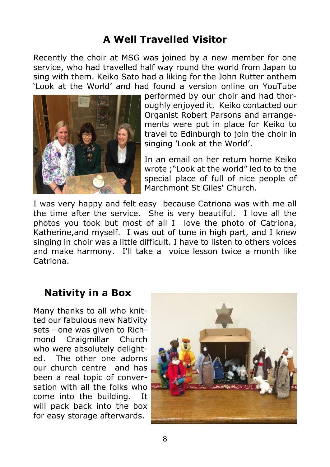#### **A Well Travelled Visitor**

Recently the choir at MSG was joined by a new member for one service, who had travelled half way round the world from Japan to sing with them. Keiko Sato had a liking for the John Rutter anthem 'Look at the World' and had found a version online on YouTube



performed by our choir and had thoroughly enjoyed it. Keiko contacted our Organist Robert Parsons and arrangements were put in place for Keiko to travel to Edinburgh to join the choir in singing 'Look at the World'.

In an email on her return home Keiko wrote ;"Look at the world" led to to the special place of full of nice people of Marchmont St Giles' Church.

I was very happy and felt easy because Catriona was with me all the time after the service. She is very beautiful. I love all the photos you took but most of all I love the photo of Catriona, Katherine,and myself. I was out of tune in high part, and I knew singing in choir was a little difficult. I have to listen to others voices and make harmony. I'll take a voice lesson twice a month like Catriona.

#### **Nativity in a Box**

Many thanks to all who knitted our fabulous new Nativity sets - one was given to Richmond Craigmillar Church who were absolutely delighted. The other one adorns our church centre and has been a real topic of conversation with all the folks who come into the building. It will pack back into the box for easy storage afterwards.

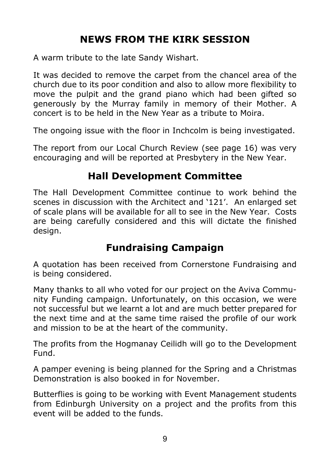#### **NEWS FROM THE KIRK SESSION**

A warm tribute to the late Sandy Wishart.

It was decided to remove the carpet from the chancel area of the church due to its poor condition and also to allow more flexibility to move the pulpit and the grand piano which had been gifted so generously by the Murray family in memory of their Mother. A concert is to be held in the New Year as a tribute to Moira.

The ongoing issue with the floor in Inchcolm is being investigated.

The report from our Local Church Review (see page 16) was very encouraging and will be reported at Presbytery in the New Year.

#### **Hall Development Committee**

The Hall Development Committee continue to work behind the scenes in discussion with the Architect and '121'. An enlarged set of scale plans will be available for all to see in the New Year. Costs are being carefully considered and this will dictate the finished design.

#### **Fundraising Campaign**

A quotation has been received from Cornerstone Fundraising and is being considered.

Many thanks to all who voted for our project on the Aviva Community Funding campaign. Unfortunately, on this occasion, we were not successful but we learnt a lot and are much better prepared for the next time and at the same time raised the profile of our work and mission to be at the heart of the community.

The profits from the Hogmanay Ceilidh will go to the Development Fund.

A pamper evening is being planned for the Spring and a Christmas Demonstration is also booked in for November.

Butterflies is going to be working with Event Management students from Edinburgh University on a project and the profits from this event will be added to the funds.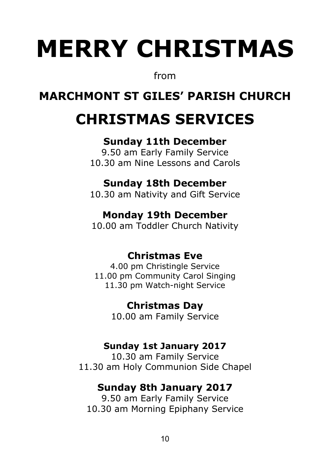# **MERRY CHRISTMAS**

from

#### **MARCHMONT ST GILES' PARISH CHURCH**

# **CHRISTMAS SERVICES**

#### **Sunday 11th December**

9.50 am Early Family Service 10.30 am Nine Lessons and Carols

#### **Sunday 18th December**

10.30 am Nativity and Gift Service

#### **Monday 19th December**

10.00 am Toddler Church Nativity

#### **Christmas Eve**

4.00 pm Christingle Service 11.00 pm Community Carol Singing 11.30 pm Watch-night Service

#### **Christmas Day**

10.00 am Family Service

#### **Sunday 1st January 2017**

10.30 am Family Service 11.30 am Holy Communion Side Chapel

#### **Sunday 8th January 2017**

9.50 am Early Family Service 10.30 am Morning Epiphany Service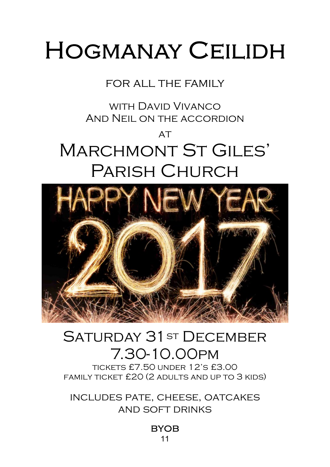# **HOGMANAY CEILIDH**

#### for all the family

with David Vivanco And Neil on the accordion

# $AT$ Marchmont St Giles' Parish Church



## SATURDAY 31 ST DECEMBER 7.30-10.00pm

tickets £7.50 under 12's £3.00 family ticket £20 (2 adults and up to 3 kids)

includes pate, cheese, oatcakes and soft drinks

> **BYOB** 11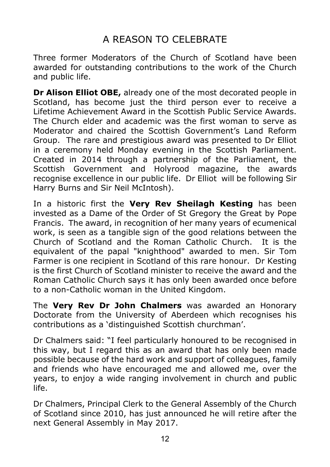#### A REASON TO CELEBRATE

Three former Moderators of the Church of Scotland have been awarded for outstanding contributions to the work of the Church and public life.

**Dr Alison Elliot OBE,** already one of the most decorated people in Scotland, has become just the third person ever to receive a Lifetime Achievement Award in the Scottish Public Service Awards. The Church elder and academic was the first woman to serve as Moderator and chaired the Scottish Government's Land Reform Group. The rare and prestigious award was presented to Dr Elliot in a ceremony held Monday evening in the Scottish Parliament. Created in 2014 through a partnership of the Parliament, the Scottish Government and Holyrood magazine, the awards recognise excellence in our public life. Dr Elliot will be following Sir Harry Burns and Sir Neil McIntosh).

In a historic first the **Very Rev Sheilagh Kesting** has been invested as a Dame of the Order of St Gregory the Great by Pope Francis. The award, in recognition of her many years of ecumenical work, is seen as a tangible sign of the good relations between the Church of Scotland and the Roman Catholic Church. It is the equivalent of the papal "knighthood" awarded to men. Sir Tom Farmer is one recipient in Scotland of this rare honour. Dr Kesting is the first Church of Scotland minister to receive the award and the Roman Catholic Church says it has only been awarded once before to a non-Catholic woman in the United Kingdom.

The **Very Rev Dr John Chalmers** was awarded an Honorary Doctorate from the University of Aberdeen which recognises his contributions as a 'distinguished Scottish churchman'.

Dr Chalmers said: "I feel particularly honoured to be recognised in this way, but I regard this as an award that has only been made possible because of the hard work and support of colleagues, family and friends who have encouraged me and allowed me, over the years, to enjoy a wide ranging involvement in church and public life.

Dr Chalmers, Principal Clerk to the General Assembly of the Church of Scotland since 2010, has just announced he will retire after the next General Assembly in May 2017.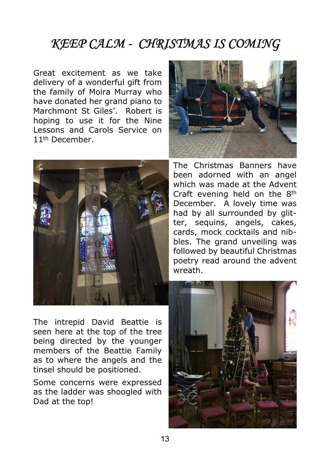#### **KEEP CALM - CHRISTMAS IS COMING**

Great excitement as we take delivery of a wonderful gift from the family of Moira Murray who have donated her grand piano to Marchmont St Giles'. Robert is hoping to use it for the Nine Lessons and Carols Service on 11th December.



The Christmas Banners have been adorned with an angel which was made at the Advent Craft evening held on the 8th December. A lovely time was had by all surrounded by glitter, sequins, angels, cakes, cards, mock cocktails and nibbles. The grand unveiling was followed by beautiful Christmas poetry read around the advent wreath.

The intrepid David Beattie is seen here at the top of the tree being directed by the younger members of the Beattie Family as to where the angels and the tinsel should be positioned.

Some concerns were expressed as the ladder was shoogled with Dad at the top!

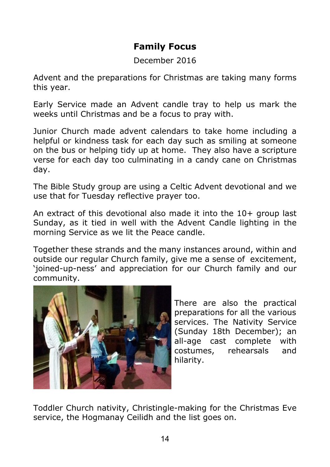#### **Family Focus**

December 2016

Advent and the preparations for Christmas are taking many forms this year.

Early Service made an Advent candle tray to help us mark the weeks until Christmas and be a focus to pray with.

Junior Church made advent calendars to take home including a helpful or kindness task for each day such as smiling at someone on the bus or helping tidy up at home. They also have a scripture verse for each day too culminating in a candy cane on Christmas day.

The Bible Study group are using a Celtic Advent devotional and we use that for Tuesday reflective prayer too.

An extract of this devotional also made it into the 10+ group last Sunday, as it tied in well with the Advent Candle lighting in the morning Service as we lit the Peace candle.

Together these strands and the many instances around, within and outside our regular Church family, give me a sense of excitement, 'joined-up-ness' and appreciation for our Church family and our community.



There are also the practical preparations for all the various services. The Nativity Service (Sunday 18th December); an all-age cast complete with costumes, rehearsals and hilarity.

Toddler Church nativity, Christingle-making for the Christmas Eve service, the Hogmanay Ceilidh and the list goes on.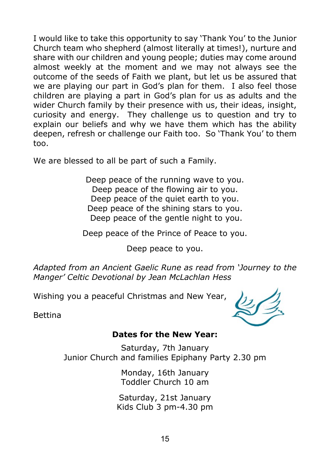I would like to take this opportunity to say 'Thank You' to the Junior Church team who shepherd (almost literally at times!), nurture and share with our children and young people; duties may come around almost weekly at the moment and we may not always see the outcome of the seeds of Faith we plant, but let us be assured that we are playing our part in God's plan for them. I also feel those children are playing a part in God's plan for us as adults and the wider Church family by their presence with us, their ideas, insight, curiosity and energy. They challenge us to question and try to explain our beliefs and why we have them which has the ability deepen, refresh or challenge our Faith too. So 'Thank You' to them too.

We are blessed to all be part of such a Family.

Deep peace of the running wave to you. Deep peace of the flowing air to you. Deep peace of the quiet earth to you. Deep peace of the shining stars to you. Deep peace of the gentle night to you.

Deep peace of the Prince of Peace to you.

Deep peace to you.

*Adapted from an Ancient Gaelic Rune as read from 'Journey to the Manger' Celtic Devotional by Jean McLachlan Hess*

Wishing you a peaceful Christmas and New Year,

Bettina

#### **Dates for the New Year:**

Saturday, 7th January Junior Church and families Epiphany Party 2.30 pm

> Monday, 16th January Toddler Church 10 am

Saturday, 21st January Kids Club 3 pm-4.30 pm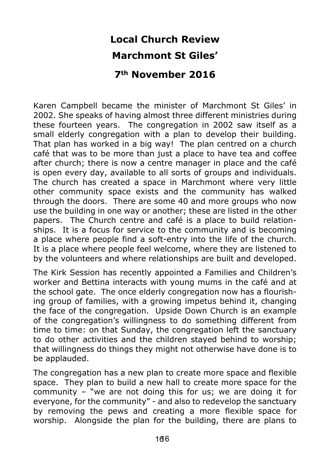# **Local Church Review Marchmont St Giles'**

#### **7th November 2016**

Karen Campbell became the minister of Marchmont St Giles' in 2002. She speaks of having almost three different ministries during these fourteen years. The congregation in 2002 saw itself as a small elderly congregation with a plan to develop their building. That plan has worked in a big way! The plan centred on a church café that was to be more than just a place to have tea and coffee after church; there is now a centre manager in place and the café is open every day, available to all sorts of groups and individuals. The church has created a space in Marchmont where very little other community space exists and the community has walked through the doors. There are some 40 and more groups who now use the building in one way or another; these are listed in the other papers. The Church centre and café is a place to build relationships. It is a focus for service to the community and is becoming a place where people find a soft-entry into the life of the church. It is a place where people feel welcome, where they are listened to by the volunteers and where relationships are built and developed.

The Kirk Session has recently appointed a Families and Children's worker and Bettina interacts with young mums in the café and at the school gate. The once elderly congregation now has a flourishing group of families, with a growing impetus behind it, changing the face of the congregation. Upside Down Church is an example of the congregation's willingness to do something different from time to time: on that Sunday, the congregation left the sanctuary to do other activities and the children stayed behind to worship; that willingness do things they might not otherwise have done is to be applauded.

The congregation has a new plan to create more space and flexible space. They plan to build a new hall to create more space for the community – "we are not doing this for us; we are doing it for everyone, for the community" - and also to redevelop the sanctuary by removing the pews and creating a more flexible space for worship. Alongside the plan for the building, there are plans to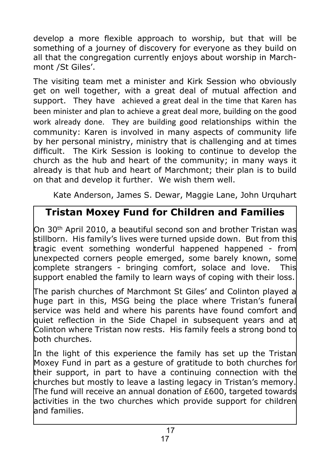develop a more flexible approach to worship, but that will be something of a journey of discovery for everyone as they build on all that the congregation currently enjoys about worship in Marchmont /St Giles'.

The visiting team met a minister and Kirk Session who obviously get on well together, with a great deal of mutual affection and support. They have achieved a great deal in the time that Karen has been minister and plan to achieve a great deal more, building on the good work already done. They are building good relationships within the community: Karen is involved in many aspects of community life by her personal ministry, ministry that is challenging and at times difficult. The Kirk Session is looking to continue to develop the church as the hub and heart of the community; in many ways it already is that hub and heart of Marchmont; their plan is to build on that and develop it further. We wish them well.

Kate Anderson, James S. Dewar, Maggie Lane, John Urquhart

#### **Tristan Moxey Fund for Children and Families**

On 30<sup>th</sup> April 2010, a beautiful second son and brother Tristan was stillborn. His family's lives were turned upside down. But from this tragic event something wonderful happened happened - from unexpected corners people emerged, some barely known, some complete strangers - bringing comfort, solace and love. This support enabled the family to learn ways of coping with their loss.

The parish churches of Marchmont St Giles' and Colinton played a huge part in this, MSG being the place where Tristan's funeral service was held and where his parents have found comfort and quiet reflection in the Side Chapel in subsequent years and at Colinton where Tristan now rests. His family feels a strong bond to both churches.

In the light of this experience the family has set up the Tristan Moxey Fund in part as a gesture of gratitude to both churches for their support, in part to have a continuing connection with the churches but mostly to leave a lasting legacy in Tristan's memory. The fund will receive an annual donation of £600, targeted towards activities in the two churches which provide support for children and families.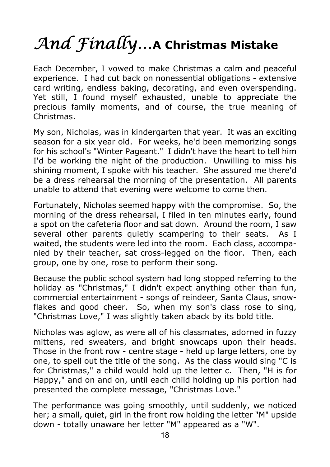# And  $\mathcal{F}\hspace{-0.5mm}$  finally...A Christmas Mistake

Each December, I vowed to make Christmas a calm and peaceful experience. I had cut back on nonessential obligations - extensive card writing, endless baking, decorating, and even overspending. Yet still, I found myself exhausted, unable to appreciate the precious family moments, and of course, the true meaning of Christmas.

My son, Nicholas, was in kindergarten that year. It was an exciting season for a six year old. For weeks, he'd been memorizing songs for his school's "Winter Pageant." I didn't have the heart to tell him I'd be working the night of the production. Unwilling to miss his shining moment, I spoke with his teacher. She assured me there'd be a dress rehearsal the morning of the presentation. All parents unable to attend that evening were welcome to come then.

Fortunately, Nicholas seemed happy with the compromise. So, the morning of the dress rehearsal, I filed in ten minutes early, found a spot on the cafeteria floor and sat down. Around the room, I saw several other parents quietly scampering to their seats. As I waited, the students were led into the room. Each class, accompanied by their teacher, sat cross-legged on the floor. Then, each group, one by one, rose to perform their song.

Because the public school system had long stopped referring to the holiday as "Christmas," I didn't expect anything other than fun, commercial entertainment - songs of reindeer, Santa Claus, snowflakes and good cheer. So, when my son's class rose to sing, "Christmas Love," I was slightly taken aback by its bold title.

Nicholas was aglow, as were all of his classmates, adorned in fuzzy mittens, red sweaters, and bright snowcaps upon their heads. Those in the front row - centre stage - held up large letters, one by one, to spell out the title of the song. As the class would sing "C is for Christmas," a child would hold up the letter c. Then, "H is for Happy," and on and on, until each child holding up his portion had presented the complete message, "Christmas Love."

The performance was going smoothly, until suddenly, we noticed her; a small, quiet, girl in the front row holding the letter "M" upside down - totally unaware her letter "M" appeared as a "W".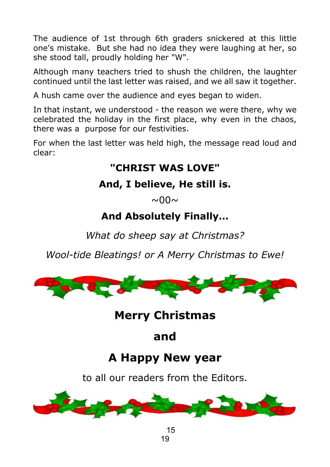The audience of 1st through 6th graders snickered at this little one's mistake. But she had no idea they were laughing at her, so she stood tall, proudly holding her "W".

Although many teachers tried to shush the children, the laughter continued until the last letter was raised, and we all saw it together.

A hush came over the audience and eyes began to widen.

In that instant, we understood - the reason we were there, why we celebrated the holiday in the first place, why even in the chaos, there was a purpose for our festivities.

For when the last letter was held high, the message read loud and clear:

#### **"CHRIST WAS LOVE"**

#### **And, I believe, He still is.**

 $\sim$  00 $\sim$ 

#### **And Absolutely Finally…**

*What do sheep say at Christmas?*

*Wool-tide Bleatings! or A Merry Christmas to Ewe!*



#### **Merry Christmas**

**and**

## **A Happy New year**

to all our readers from the Editors.